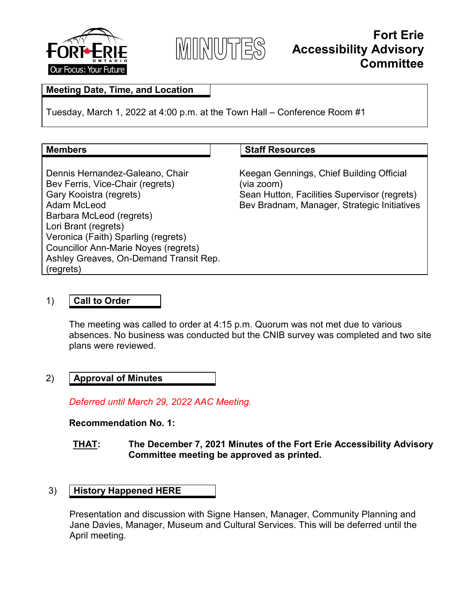



# **Fort Erie Accessibility Advisory Committee**

# **Meeting Date, Time, and Location**

Tuesday, March 1, 2022 at 4:00 p.m. at the Town Hall – Conference Room #1

#### **Members**  $\vert$  **Staff Resources**

Dennis Hernandez-Galeano, Chair Bev Ferris, Vice-Chair (regrets) Gary Kooistra (regrets) Adam McLeod Barbara McLeod (regrets) Lori Brant (regrets) Veronica (Faith) Sparling (regrets) Councillor Ann-Marie Noyes (regrets) Ashley Greaves, On-Demand Transit Rep. (regrets)

Keegan Gennings, Chief Building Official (via zoom) Sean Hutton, Facilities Supervisor (regrets) Bev Bradnam, Manager, Strategic Initiatives

# 1) **Call to Order**

The meeting was called to order at 4:15 p.m. Quorum was not met due to various absences. No business was conducted but the CNIB survey was completed and two site plans were reviewed.

#### 2) **Approval of Minutes**

*Deferred until March 29, 2022 AAC Meeting.*

#### **Recommendation No. 1:**

# **THAT: The December 7, 2021 Minutes of the Fort Erie Accessibility Advisory Committee meeting be approved as printed.**

# 3) **History Happened HERE**

Presentation and discussion with Signe Hansen, Manager, Community Planning and Jane Davies, Manager, Museum and Cultural Services. This will be deferred until the April meeting.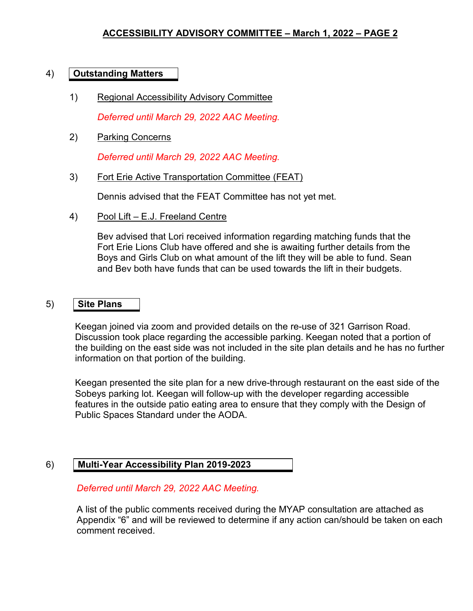# 4) **Outstanding Matters**

1) Regional Accessibility Advisory Committee

*Deferred until March 29, 2022 AAC Meeting.*

2) Parking Concerns

*Deferred until March 29, 2022 AAC Meeting.*

3) Fort Erie Active Transportation Committee (FEAT)

Dennis advised that the FEAT Committee has not yet met.

4) Pool Lift – E.J. Freeland Centre

Bev advised that Lori received information regarding matching funds that the Fort Erie Lions Club have offered and she is awaiting further details from the Boys and Girls Club on what amount of the lift they will be able to fund. Sean and Bev both have funds that can be used towards the lift in their budgets.

# 5) **Site Plans**

Keegan joined via zoom and provided details on the re-use of 321 Garrison Road. Discussion took place regarding the accessible parking. Keegan noted that a portion of the building on the east side was not included in the site plan details and he has no further information on that portion of the building.

Keegan presented the site plan for a new drive-through restaurant on the east side of the Sobeys parking lot. Keegan will follow-up with the developer regarding accessible features in the outside patio eating area to ensure that they comply with the Design of Public Spaces Standard under the AODA.

# 6) **Multi-Year Accessibility Plan 2019-2023**

# *Deferred until March 29, 2022 AAC Meeting.*

A list of the public comments received during the MYAP consultation are attached as Appendix "6" and will be reviewed to determine if any action can/should be taken on each comment received.